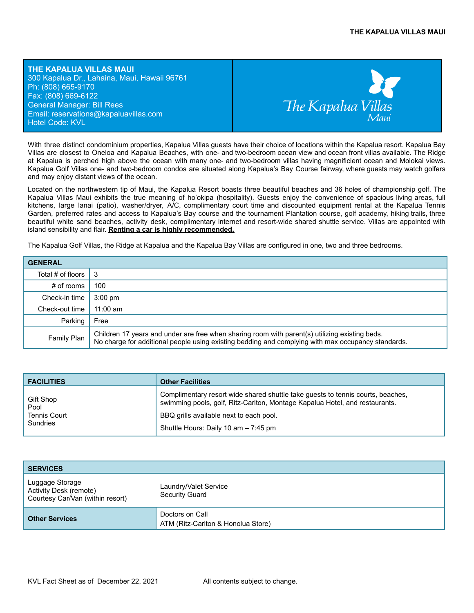**THE KAPALUA VILLAS MAUI** 300 Kapalua Dr., Lahaina, Maui, Hawaii 96761 Ph: (808) 665-9170 Fax: (808) 669-6122 General Manager: Bill Rees Email: reservations@kapaluavillas.com Hotel Code: KVL



With three distinct condominium properties, Kapalua Villas guests have their choice of locations within the Kapalua resort. Kapalua Bay Villas are closest to Oneloa and Kapalua Beaches, with one- and two-bedroom ocean view and ocean front villas available. The Ridge at Kapalua is perched high above the ocean with many one- and two-bedroom villas having magnificient ocean and Molokai views. Kapalua Golf Villas one- and two-bedroom condos are situated along Kapalua's Bay Course fairway, where guests may watch golfers and may enjoy distant views of the ocean.

Located on the northwestern tip of Maui, the Kapalua Resort boasts three beautiful beaches and 36 holes of championship golf. The Kapalua Villas Maui exhibits the true meaning of ho'okipa (hospitality). Guests enjoy the convenience of spacious living areas, full kitchens, large lanai (patio), washer/dryer, A/C, complimentary court time and discounted equipment rental at the Kapalua Tennis Garden, preferred rates and access to Kapalua's Bay course and the tournament Plantation course, golf academy, hiking trails, three beautiful white sand beaches, activity desk, complimentary internet and resort-wide shared shuttle service. Villas are appointed with island sensibility and flair. **Renting a car is highly recommended.**

The Kapalua Golf Villas, the Ridge at Kapalua and the Kapalua Bay Villas are configured in one, two and three bedrooms.

| <b>GENERAL</b>    |                                                                                                                                                                                                      |
|-------------------|------------------------------------------------------------------------------------------------------------------------------------------------------------------------------------------------------|
| Total # of floors | ∣3                                                                                                                                                                                                   |
| # of rooms        | 100                                                                                                                                                                                                  |
| Check-in time     | $3:00 \text{ pm}$                                                                                                                                                                                    |
| Check-out time    | $11:00$ am                                                                                                                                                                                           |
| Parking           | Free                                                                                                                                                                                                 |
| Family Plan       | Children 17 years and under are free when sharing room with parent(s) utilizing existing beds.<br>No charge for additional people using existing bedding and complying with max occupancy standards. |

| <b>FACILITIES</b>   | <b>Other Facilities</b>                                                                                                                                        |
|---------------------|----------------------------------------------------------------------------------------------------------------------------------------------------------------|
| Gift Shop<br>Pool   | Complimentary resort wide shared shuttle take guests to tennis courts, beaches,<br>swimming pools, golf, Ritz-Carlton, Montage Kapalua Hotel, and restaurants. |
| <b>Tennis Court</b> | BBQ grills available next to each pool.                                                                                                                        |
| Sundries            | Shuttle Hours: Daily 10 am - 7:45 pm                                                                                                                           |

| <b>SERVICES</b>                                                               |                                                       |
|-------------------------------------------------------------------------------|-------------------------------------------------------|
| Luggage Storage<br>Activity Desk (remote)<br>Courtesy Car/Van (within resort) | Laundry/Valet Service<br><b>Security Guard</b>        |
| <b>Other Services</b>                                                         | Doctors on Call<br>ATM (Ritz-Carlton & Honolua Store) |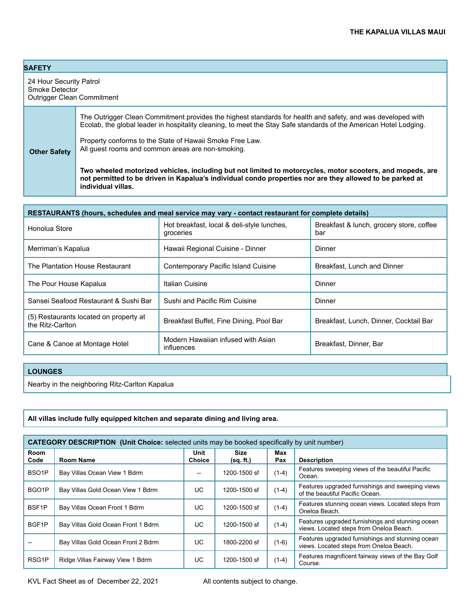## **SAFETY**

**Other Safety**

24 Hour Security Patrol Smoke Detector Outrigger Clean Commitment

> The Outrigger Clean Commitment provides the highest standards for health and safety, and was developed with Ecolab, the global leader in hospitality cleaning, to meet the Stay Safe standards of the American Hotel Lodging.

Property conforms to the State of Hawaii Smoke Free Law. All guest rooms and common areas are non-smoking.

**Two wheeled motorized vehicles, including but not limited to motorcycles, motor scooters, and mopeds, are not permitted to be driven in Kapalua's individual condo properties nor are they allowed to be parked at individual villas.**

| RESTAURANTS (hours, schedules and meal service may vary - contact restaurant for complete details) |                                                         |                                                 |  |
|----------------------------------------------------------------------------------------------------|---------------------------------------------------------|-------------------------------------------------|--|
| Honolua Store                                                                                      | Hot breakfast, local & deli-style lunches,<br>groceries | Breakfast & lunch, grocery store, coffee<br>bar |  |
| Merriman's Kapalua                                                                                 | Hawaii Regional Cuisine - Dinner                        | Dinner                                          |  |
| The Plantation House Restaurant                                                                    | Contemporary Pacific Island Cuisine                     | Breakfast, Lunch and Dinner                     |  |
| The Pour House Kapalua                                                                             | Italian Cuisine                                         | Dinner                                          |  |
| Sansei Seafood Restaurant & Sushi Bar                                                              | Sushi and Pacific Rim Cuisine                           | Dinner                                          |  |
| (5) Restaurants located on property at<br>the Ritz-Carlton                                         | Breakfast Buffet, Fine Dining, Pool Bar                 | Breakfast, Lunch, Dinner, Cocktail Bar          |  |
| Cane & Canoe at Montage Hotel                                                                      | Modern Hawaiian infused with Asian<br>influences        | Breakfast, Dinner, Bar                          |  |

#### **LOUNGES**

Nearby in the neighboring Ritz-Carlton Kapalua

**All villas include fully equipped kitchen and separate dining and living area.**

| <b>CATEGORY DESCRIPTION (Unit Choice:</b> selected units may be booked specifically by unit number) |                                    |                       |                   |            |                                                                                             |
|-----------------------------------------------------------------------------------------------------|------------------------------------|-----------------------|-------------------|------------|---------------------------------------------------------------------------------------------|
| Room<br>Code                                                                                        | Room Name                          | Unit<br><b>Choice</b> | Size<br>(sq. ft.) | Max<br>Pax | <b>Description</b>                                                                          |
| BSO <sub>1</sub> P                                                                                  | Bay Villas Ocean View 1 Bdrm       |                       | 1200-1500 sf      | $(1-4)$    | Features sweeping views of the beautiful Pacific<br>Ocean.                                  |
| BGO <sub>1</sub> P                                                                                  | Bay Villas Gold Ocean View 1 Bdrm  | UC.                   | 1200-1500 sf      | $(1-4)$    | Features upgraded furnishings and sweeping views<br>of the beautiful Pacific Ocean.         |
| BSF <sub>1P</sub>                                                                                   | Bay Villas Ocean Front 1 Bdrm      | UC.                   | 1200-1500 sf      | $(1-4)$    | Features stunning ocean views. Located steps from<br>Oneloa Beach.                          |
| BGF1P                                                                                               | Bay Villas Gold Ocean Front 1 Bdrm | UC.                   | 1200-1500 sf      | $(1-4)$    | Features upgraded furnishings and stunning ocean<br>views. Located steps from Oneloa Beach. |
|                                                                                                     | Bay Villas Gold Ocean Front 2 Bdrm | UC.                   | 1800-2200 sf      | $(1-6)$    | Features upgraded furnishings and stunning ocean<br>views. Located steps from Oneloa Beach. |
| RSG <sub>1</sub> P                                                                                  | Ridge Villas Fairway View 1 Bdrm   | UC.                   | 1200-1500 sf      | $(1-4)$    | Features magnificent fairway views of the Bay Golf<br>Course.                               |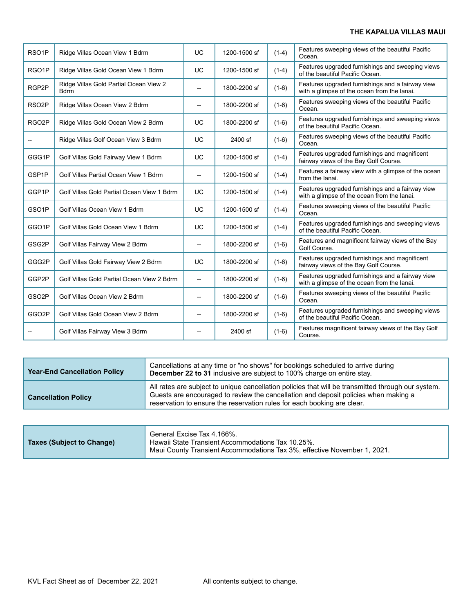## **THE KAPALUA VILLAS MAUI**

| RSO <sub>1</sub> P | Ridge Villas Ocean View 1 Bdrm                        | UC             | 1200-1500 sf | $(1-4)$ | Features sweeping views of the beautiful Pacific<br>Ocean.                                      |
|--------------------|-------------------------------------------------------|----------------|--------------|---------|-------------------------------------------------------------------------------------------------|
| RGO <sub>1</sub> P | Ridge Villas Gold Ocean View 1 Bdrm                   | <b>UC</b>      | 1200-1500 sf | $(1-4)$ | Features upgraded furnishings and sweeping views<br>of the beautiful Pacific Ocean.             |
| RGP2P              | Ridge Villas Gold Partial Ocean View 2<br><b>Bdrm</b> | $-$            | 1800-2200 sf | $(1-6)$ | Features upgraded furnishings and a fairway view<br>with a glimpse of the ocean from the lanai. |
| RSO <sub>2</sub> P | Ridge Villas Ocean View 2 Bdrm                        | $\overline{a}$ | 1800-2200 sf | $(1-6)$ | Features sweeping views of the beautiful Pacific<br>Ocean.                                      |
| RGO <sub>2</sub> P | Ridge Villas Gold Ocean View 2 Bdrm                   | UC             | 1800-2200 sf | $(1-6)$ | Features upgraded furnishings and sweeping views<br>of the beautiful Pacific Ocean.             |
|                    | Ridge Villas Golf Ocean View 3 Bdrm                   | UC             | 2400 sf      | $(1-6)$ | Features sweeping views of the beautiful Pacific<br>Ocean.                                      |
| GGG1P              | Golf Villas Gold Fairway View 1 Bdrm                  | UC             | 1200-1500 sf | $(1-4)$ | Features upgraded furnishings and magnificent<br>fairway views of the Bay Golf Course.          |
| GSP1P              | Golf Villas Partial Ocean View 1 Bdrm                 | $-$            | 1200-1500 sf | $(1-4)$ | Features a fairway view with a glimpse of the ocean<br>from the lanai.                          |
| GGP1P              | Golf Villas Gold Partial Ocean View 1 Bdrm            | UC             | 1200-1500 sf | $(1-4)$ | Features upgraded furnishings and a fairway view<br>with a glimpse of the ocean from the lanai. |
| GSO <sub>1</sub> P | Golf Villas Ocean View 1 Bdrm                         | <b>UC</b>      | 1200-1500 sf | $(1-4)$ | Features sweeping views of the beautiful Pacific<br>Ocean.                                      |
| GGO1P              | Golf Villas Gold Ocean View 1 Bdrm                    | UC             | 1200-1500 sf | $(1-4)$ | Features upgraded furnishings and sweeping views<br>of the beautiful Pacific Ocean.             |
| GSG2P              | Golf Villas Fairway View 2 Bdrm                       | $\overline{a}$ | 1800-2200 sf | $(1-6)$ | Features and magnificent fairway views of the Bay<br>Golf Course.                               |
| GGG2P              | Golf Villas Gold Fairway View 2 Bdrm                  | UC             | 1800-2200 sf | $(1-6)$ | Features upgraded furnishings and magnificent<br>fairway views of the Bay Golf Course.          |
| GGP2P              | Golf Villas Gold Partial Ocean View 2 Bdrm            | $\overline{a}$ | 1800-2200 sf | $(1-6)$ | Features upgraded furnishings and a fairway view<br>with a glimpse of the ocean from the lanai. |
| GSO <sub>2</sub> P | Golf Villas Ocean View 2 Bdrm                         | $\overline{a}$ | 1800-2200 sf | $(1-6)$ | Features sweeping views of the beautiful Pacific<br>Ocean.                                      |
| GGO2P              | Golf Villas Gold Ocean View 2 Bdrm                    | $-$            | 1800-2200 sf | $(1-6)$ | Features upgraded furnishings and sweeping views<br>of the beautiful Pacific Ocean.             |
|                    | Golf Villas Fairway View 3 Bdrm                       |                | 2400 sf      | $(1-6)$ | Features magnificent fairway views of the Bay Golf<br>Course.                                   |

| <b>Year-End Cancellation Policy</b> | Cancellations at any time or "no shows" for bookings scheduled to arrive during<br>December 22 to 31 inclusive are subject to 100% charge on entire stay.                                                                                                            |
|-------------------------------------|----------------------------------------------------------------------------------------------------------------------------------------------------------------------------------------------------------------------------------------------------------------------|
| <b>Cancellation Policy</b>          | All rates are subject to unique cancellation policies that will be transmitted through our system.<br>Guests are encouraged to review the cancellation and deposit policies when making a<br>reservation to ensure the reservation rules for each booking are clear. |

| <b>Taxes (Subject to Change)</b> | General Excise Tax 4.166%.<br>Hawaii State Transient Accommodations Tax 10.25%.<br>Maui County Transient Accommodations Tax 3%, effective November 1, 2021. |
|----------------------------------|-------------------------------------------------------------------------------------------------------------------------------------------------------------|
|----------------------------------|-------------------------------------------------------------------------------------------------------------------------------------------------------------|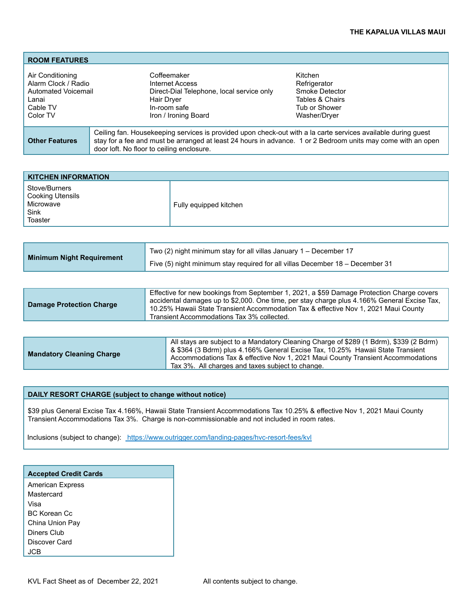| <b>ROOM FEATURES</b>                                                                            |                                                                                                                                                                                                                                                                            |                                                                                               |
|-------------------------------------------------------------------------------------------------|----------------------------------------------------------------------------------------------------------------------------------------------------------------------------------------------------------------------------------------------------------------------------|-----------------------------------------------------------------------------------------------|
| Air Conditioning<br>Alarm Clock / Radio<br>Automated Voicemail<br>Lanai<br>Cable TV<br>Color TV | Coffeemaker<br>Internet Access<br>Direct-Dial Telephone, local service only<br>Hair Dryer<br>In-room safe<br>Iron / Ironing Board                                                                                                                                          | Kitchen<br>Refrigerator<br>Smoke Detector<br>Tables & Chairs<br>Tub or Shower<br>Washer/Drver |
| <b>Other Features</b>                                                                           | Ceiling fan. Housekeeping services is provided upon check-out with a la carte services available during guest<br>stay for a fee and must be arranged at least 24 hours in advance. 1 or 2 Bedroom units may come with an open<br>door loft. No floor to ceiling enclosure. |                                                                                               |

| <b>KITCHEN INFORMATION</b>                                        |                        |
|-------------------------------------------------------------------|------------------------|
| Stove/Burners<br>Cooking Utensils<br>Microwave<br>Sink<br>Toaster | Fully equipped kitchen |

| Minimum Night Requirement | Two (2) night minimum stay for all villas January 1 – December 17             |  |  |  |
|---------------------------|-------------------------------------------------------------------------------|--|--|--|
|                           | Five (5) night minimum stay required for all villas December 18 – December 31 |  |  |  |

| <b>Damage Protection Charge</b> | Effective for new bookings from September 1, 2021, a \$59 Damage Protection Charge covers<br>accidental damages up to \$2,000. One time, per stay charge plus 4.166% General Excise Tax,<br>10.25% Hawaii State Transient Accommodation Tax & effective Nov 1, 2021 Maui County<br>Transient Accommodations Tax 3% collected. |
|---------------------------------|-------------------------------------------------------------------------------------------------------------------------------------------------------------------------------------------------------------------------------------------------------------------------------------------------------------------------------|
|                                 |                                                                                                                                                                                                                                                                                                                               |
|                                 | All stays are subject to a Mandatory Cleaning Charge of \$289 (1 Bdrm), \$339 (2 Bdrm)                                                                                                                                                                                                                                        |

|  | <b>Mandatory Cleaning Charge</b> | 3 & \$364 (3 Bdrm) plus 4.166% General Excise Tax, 10.25% Hawaii State Transient<br>Accommodations Tax & effective Nov 1, 2021 Maui County Transient Accommodations<br>Tax 3%. All charges and taxes subject to change. |
|--|----------------------------------|-------------------------------------------------------------------------------------------------------------------------------------------------------------------------------------------------------------------------|
|--|----------------------------------|-------------------------------------------------------------------------------------------------------------------------------------------------------------------------------------------------------------------------|

### **DAILY RESORT CHARGE (subject to change without notice)**

\$39 plus General Excise Tax 4.166%, Hawaii State Transient Accommodations Tax 10.25% & effective Nov 1, 2021 Maui County Transient Accommodations Tax 3%. Charge is non-commissionable and not included in room rates.

Inclusions (subject to change): <https://www.outrigger.com/landing-pages/hvc-resort-fees/kvl>

| <b>Accepted Credit Cards</b> |  |  |
|------------------------------|--|--|
| <b>American Express</b>      |  |  |
| Mastercard                   |  |  |
| Visa                         |  |  |
| BC Korean Cc                 |  |  |
| China Union Pay              |  |  |
| Diners Club                  |  |  |
| Discover Card                |  |  |
|                              |  |  |